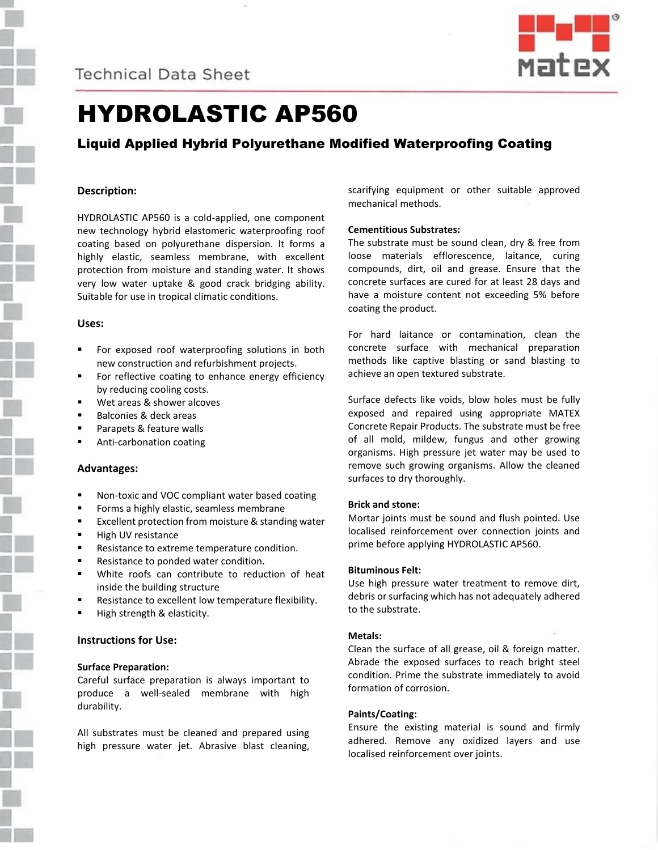



# HYDROLASTIC AP560

# Liquid Applied Hybrid Polyurethane Modified Waterproofing Coating

# **Description:**

HYDROLASTIC AP560 is a cold-applied, one component new technology hybrid elastomeric waterproofing roof coating based on polyurethane dispersion. It forms a highly elastic, seamless membrane, with excellent protection from moisture and standing water. It shows very low water uptake & good crack bridging ability. Suitable for use in tropical climatic conditions.

# **Uses:**

- For exposed roof waterproofing solutions in both new construction and refurbishment projects.
- For reflective coating to enhance energy efficiency by reducing cooling costs.
- Wet areas & shower alcoves
- Balconies & deck areas
- Parapets & feature walls
- Anti-carbonation coating

# **Advantages:**

- Non-toxic and VOC compliant water based coating
- Forms a highly elastic, seamless membrane
- Excellent protection from moisture & standing water
- High UV resistance
- Resistance to extreme temperature condition.
- Resistance to ponded water condition.
- White roofs can contribute to reduction of heat inside the building structure
- Resistance to excellent low temperature flexibility.
- High strength & elasticity.

# **Instructions for Use:**

# **Surface Preparation:**

Careful surface preparation is always important to produce a well-sealed membrane with high durability.

All substrates must be cleaned and prepared using high pressure water jet. Abrasive blast cleaning, scarifying equipment or other suitable approved mechanical methods.

# **Cementitious Substrates:**

The substrate must be sound clean, dry & free from loose materials efflorescence, laitance, curing compounds, dirt, oil and grease. Ensure that the concrete surfaces are cured for at least 28 days and have a moisture content not exceeding 5% before coating the product.

For hard laitance or contamination, clean the concrete surface with mechanical preparation methods like captive blasting or sand blasting to achieve an open textured substrate.

Surface defects like voids, blow holes must be fully exposed and repaired using appropriate MATEX Concrete Repair Products. The substrate must be free of all mold, mildew, fungus and other growing organisms. High pressure jet water may be used to remove such growing organisms. Allow the cleaned surfaces to dry thoroughly.

#### **Brick and stone:**

Mortar joints must be sound and flush pointed. Use localised reinforcement over connection joints and prime before applying HYDROLASTIC AP560.

#### **Bituminous Felt:**

Use high pressure water treatment to remove dirt, debris or surfacing which has not adequately adhered to the substrate.

#### **Metals:**

Clean the surface of all grease, oil & foreign matter. Abrade the exposed surfaces to reach bright steel condition. Prime the substrate immediately to avoid formation of corrosion.

#### **Paints/Coating:**

Ensure the existing material is sound and firmly adhered. Remove any oxidized layers and use localised reinforcement over joints.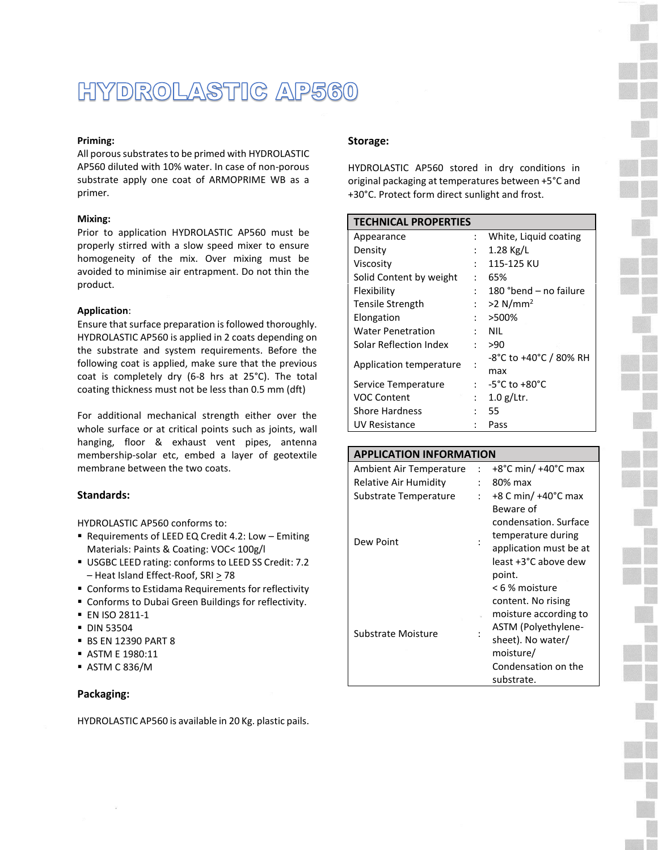# HYDROLASTIC AP560

#### **Priming:**

All porous substrates to be primed with HYDROLASTIC AP560 diluted with 10% water. In case of non-porous substrate apply one coat of ARMOPRIME WB as a primer.

#### **Mixing:**

Prior to application HYDROLASTIC AP560 must be properly stirred with a slow speed mixer to ensure homogeneity of the mix. Over mixing must be avoided to minimise air entrapment. Do not thin the product.

#### **Application**:

Ensure that surface preparation is followed thoroughly. HYDROLASTIC AP560 is applied in 2 coats depending on the substrate and system requirements. Before the following coat is applied, make sure that the previous coat is completely dry (6-8 hrs at 25°C). The total coating thickness must not be less than 0.5 mm (dft)

For additional mechanical strength either over the whole surface or at critical points such as joints, wall hanging, floor & exhaust vent pipes, antenna membership-solar etc, embed a layer of geotextile membrane between the two coats.

# **Standards:**

HYDROLASTIC AP560 conforms to:

- Requirements of LEED EQ Credit 4.2: Low Emiting Materials: Paints & Coating: VOC< 100g/l
- USGBC LEED rating: conforms to LEED SS Credit: 7.2 – Heat Island Effect-Roof, SRI > 78
- Conforms to Estidama Requirements for reflectivity
- Conforms to Dubai Green Buildings for reflectivity.
- EN ISO 2811-1
- **DIN 53504**
- BS EN 12390 PART 8
- ASTM E 1980:11
- ASTM C 836/M

# **Packaging:**

HYDROLASTIC AP560 is available in 20 Kg. plastic pails.

#### **Storage:**

HYDROLASTIC AP560 stored in dry conditions in original packaging at temperatures between +5°C and +30°C. Protect form direct sunlight and frost.

| <b>TECHNICAL PROPERTIES</b> |                      |                        |
|-----------------------------|----------------------|------------------------|
| Appearance                  | $\ddot{\phantom{0}}$ | White, Liquid coating  |
| Density                     |                      | $1.28$ Kg/L            |
| Viscosity                   | $\ddot{\cdot}$       | 115-125 KU             |
| Solid Content by weight     |                      | 65%                    |
| Flexibility                 | $\ddot{\phantom{0}}$ | 180 °bend – no failure |
| Tensile Strength            | $\ddot{\phantom{a}}$ | $>2$ N/mm <sup>2</sup> |
| Elongation                  |                      | >500%                  |
| <b>Water Penetration</b>    |                      | NIL                    |
| Solar Reflection Index      | $\mathcal{L}$        | >90                    |
| Application temperature     |                      | -8°C to +40°C / 80% RH |
|                             |                      | max                    |
| Service Temperature         | $\mathbf{L}$         | -5°C to +80°C          |
| <b>VOC Content</b>          | $\ddot{\cdot}$       | $1.0$ g/Ltr.           |
| <b>Shore Hardness</b>       |                      | 55                     |
| UV Resistance               |                      | Pass                   |

# **APPLICATION INFORMATION** Ambient Air Temperature : +8°C min/ +40°C max Relative Air Humidity : 80% max Substrate Temperature : +8 C min/ +40°C max Dew Point Beware of condensation. Surface temperature during application must be at least +3°C above dew point. Substrate Moisture : < 6 % moisture content. No rising moisture according to ASTM (Polyethylenesheet). No water/ moisture/ Condensation on the substrate.